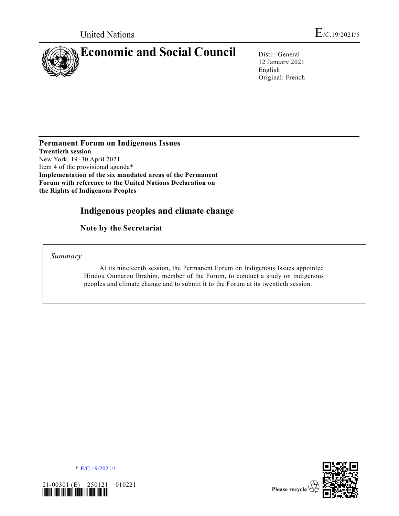

12 January 2021 English Original: French

**Permanent Forum on Indigenous Issues Twentieth session** New York, 19–30 April 2021 Item 4 of the provisional agenda\* **Implementation of the six mandated areas of the Permanent Forum with reference to the United Nations Declaration on the Rights of Indigenous Peoples**

# **Indigenous peoples and climate change**

**Note by the Secretariat**

*Summary*

At its nineteenth session, the Permanent Forum on Indigenous Issues appointed Hindou Oumarou Ibrahim, member of the Forum, to conduct a study on indigenous peoples and climate change and to submit it to the Forum at its twentieth session.





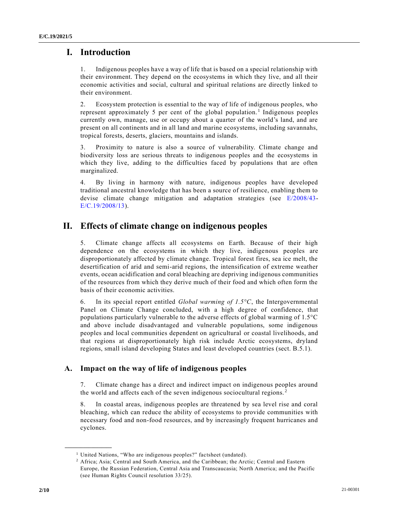## **I. Introduction**

1. Indigenous peoples have a way of life that is based on a special relationship with their environment. They depend on the ecosystems in which they live, and all their economic activities and social, cultural and spiritual relations are directly linked to their environment.

2. Ecosystem protection is essential to the way of life of indigenous peoples, who represent approximately 5 per cent of the global population.<sup>1</sup> Indigenous peoples currently own, manage, use or occupy about a quarter of the world's land, and are present on all continents and in all land and marine ecosystems, including savannahs, tropical forests, deserts, glaciers, mountains and islands.

3. Proximity to nature is also a source of vulnerability. Climate change and biodiversity loss are serious threats to indigenous peoples and the ecosystems in which they live, adding to the difficulties faced by populations that are often marginalized.

4. By living in harmony with nature, indigenous peoples have developed traditional ancestral knowledge that has been a source of resilience, enabling them to devise climate change mitigation and adaptation strategies (see [E/2008/43-](https://undocs.org/en/E/2008/43)  $E/C.19/2008/13$ ).

## **II. Effects of climate change on indigenous peoples**

5. Climate change affects all ecosystems on Earth. Because of their high dependence on the ecosystems in which they live, indigenous peoples are disproportionately affected by climate change. Tropical forest fires, sea ice melt, the desertification of arid and semi-arid regions, the intensification of extreme weather events, ocean acidification and coral bleaching are depriving indigenous communities of the resources from which they derive much of their food and which often form the basis of their economic activities.

6. In its special report entitled *Global warming of 1.5°C*, the Intergovernmental Panel on Climate Change concluded, with a high degree of confidence, that populations particularly vulnerable to the adverse effects of global warming of 1.5°C and above include disadvantaged and vulnerable populations, some indigenous peoples and local communities dependent on agricultural or coastal livelihoods, and that regions at disproportionately high risk include Arctic ecosystems, dryland regions, small island developing States and least developed countries (sect. B.5.1).

### **A. Impact on the way of life of indigenous peoples**

7. Climate change has a direct and indirect impact on indigenous peoples around the world and affects each of the seven indigenous sociocultural regions. <sup>2</sup>

8. In coastal areas, indigenous peoples are threatened by sea level rise and coral bleaching, which can reduce the ability of ecosystems to provide communities with necessary food and non-food resources, and by increasingly frequent hurricanes and cyclones.

<sup>&</sup>lt;sup>1</sup> United Nations, "Who are indigenous peoples?" factsheet (undated).

<sup>2</sup> Africa; Asia; Central and South America, and the Caribbean; the Arctic; Central and Eastern Europe, the Russian Federation, Central Asia and Transcaucasia; North America; and the Pacific (see Human Rights Council resolution 33/25).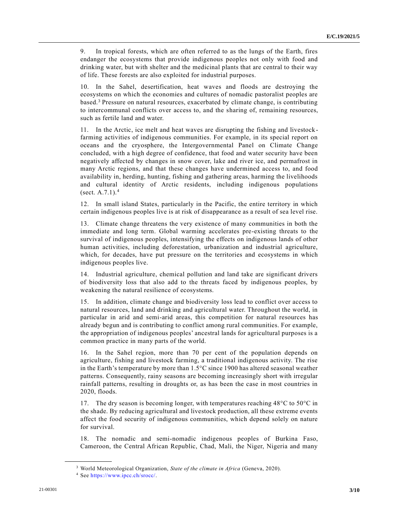9. In tropical forests, which are often referred to as the lungs of the Earth, fires endanger the ecosystems that provide indigenous peoples not only with food and drinking water, but with shelter and the medicinal plants that are central to their way of life. These forests are also exploited for industrial purposes.

10. In the Sahel, desertification, heat waves and floods are destroying the ecosystems on which the economies and cultures of nomadic pastoralist peoples are based.<sup>3</sup> Pressure on natural resources, exacerbated by climate change, is contributing to intercommunal conflicts over access to, and the sharing of, remaining resources, such as fertile land and water.

11. In the Arctic, ice melt and heat waves are disrupting the fishing and livestock farming activities of indigenous communities. For example, in its special report on oceans and the cryosphere, the Intergovernmental Panel on Climate Change concluded, with a high degree of confidence, that food and water security have been negatively affected by changes in snow cover, lake and river ice, and permafrost in many Arctic regions, and that these changes have undermined access to, and food availability in, herding, hunting, fishing and gathering areas, harming the livelihoods and cultural identity of Arctic residents, including indigenous populations (sect.  $A.7.1$ ).<sup>4</sup>

12. In small island States, particularly in the Pacific, the entire territory in which certain indigenous peoples live is at risk of disappearance as a result of sea level rise.

13. Climate change threatens the very existence of many communities in both the immediate and long term. Global warming accelerates pre-existing threats to the survival of indigenous peoples, intensifying the effects on indigenous lands of other human activities, including deforestation, urbanization and industrial agriculture, which, for decades, have put pressure on the territories and ecosystems in which indigenous peoples live.

14. Industrial agriculture, chemical pollution and land take are significant drivers of biodiversity loss that also add to the threats faced by indigenous peoples, by weakening the natural resilience of ecosystems.

15. In addition, climate change and biodiversity loss lead to conflict over access to natural resources, land and drinking and agricultural water. Throughout the world, in particular in arid and semi-arid areas, this competition for natural resources has already begun and is contributing to conflict among rural communities. For example, the appropriation of indigenous peoples' ancestral lands for agricultural purposes is a common practice in many parts of the world.

16. In the Sahel region, more than 70 per cent of the population depends on agriculture, fishing and livestock farming, a traditional indigenous activity. The rise in the Earth's temperature by more than 1.5°C since 1900 has altered seasonal weather patterns. Consequently, rainy seasons are becoming increasingly short with irregular rainfall patterns, resulting in droughts or, as has been the case in most countries in 2020, floods.

17. The dry season is becoming longer, with temperatures reaching  $48^{\circ}$ C to  $50^{\circ}$ C in the shade. By reducing agricultural and livestock production, all these extreme events affect the food security of indigenous communities, which depend solely on nature for survival.

18. The nomadic and semi-nomadic indigenous peoples of Burkina Faso, Cameroon, the Central African Republic, Chad, Mali, the Niger, Nigeria and many

<sup>3</sup> World Meteorological Organization, *State of the climate in Africa* (Geneva, 2020).

<sup>4</sup> See [https://www.ipcc.ch/srocc/.](https://www.ipcc.ch/srocc/)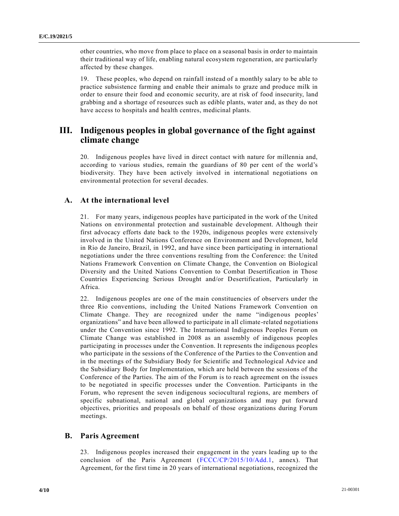other countries, who move from place to place on a seasonal basis in order to maintain their traditional way of life, enabling natural ecosystem regeneration, are particularly affected by these changes.

19. These peoples, who depend on rainfall instead of a monthly salary to be able to practice subsistence farming and enable their animals to graze and produce milk in order to ensure their food and economic security, are at risk of food insecurity, land grabbing and a shortage of resources such as edible plants, water and, as they do not have access to hospitals and health centres, medicinal plants.

## **III. Indigenous peoples in global governance of the fight against climate change**

20. Indigenous peoples have lived in direct contact with nature for millennia and, according to various studies, remain the guardians of 80 per cent of the world's biodiversity. They have been actively involved in international negotiations on environmental protection for several decades.

### **A. At the international level**

21. For many years, indigenous peoples have participated in the work of the United Nations on environmental protection and sustainable development. Although their first advocacy efforts date back to the 1920s, indigenous peoples were extensively involved in the United Nations Conference on Environment and Development, held in Rio de Janeiro, Brazil, in 1992, and have since been participating in international negotiations under the three conventions resulting from the Conference: the United Nations Framework Convention on Climate Change, the Convention on Biological Diversity and the United Nations Convention to Combat Desertification in Those Countries Experiencing Serious Drought and/or Desertification, Particularly in Africa.

22. Indigenous peoples are one of the main constituencies of observers under the three Rio conventions, including the United Nations Framework Convention on Climate Change. They are recognized under the name "indigenous peoples' organizations" and have been allowed to participate in all climate-related negotiations under the Convention since 1992. The International Indigenous Peoples Forum on Climate Change was established in 2008 as an assembly of indigenous peoples participating in processes under the Convention. It represents the indigenous peoples who participate in the sessions of the Conference of the Parties to the Convention and in the meetings of the Subsidiary Body for Scientific and Technological Advice and the Subsidiary Body for Implementation, which are held between the sessions of the Conference of the Parties. The aim of the Forum is to reach agreement on the issues to be negotiated in specific processes under the Convention. Participants in the Forum, who represent the seven indigenous sociocultural regions, are members of specific subnational, national and global organizations and may put forward objectives, priorities and proposals on behalf of those organizations during Forum meetings.

#### **B. Paris Agreement**

23. Indigenous peoples increased their engagement in the years leading up to the conclusion of the Paris Agreement [\(FCCC/CP/2015/10/Add.1,](https://undocs.org/en/FCCC/CP/2015/10/Add.1) annex). That Agreement, for the first time in 20 years of international negotiations, recognized the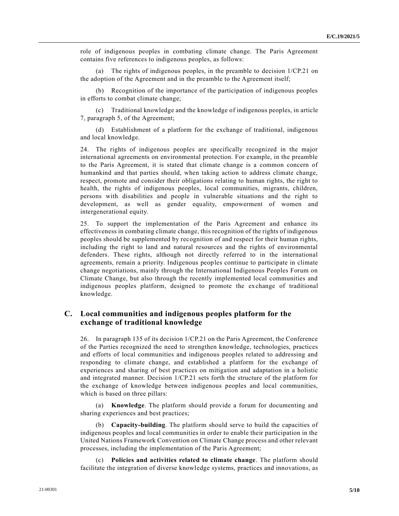role of indigenous peoples in combating climate change. The Paris Agreement contains five references to indigenous peoples, as follows:

(a) The rights of indigenous peoples, in the preamble to decision 1/CP.21 on the adoption of the Agreement and in the preamble to the Agreement itself;

(b) Recognition of the importance of the participation of indigenous peoples in efforts to combat climate change;

(c) Traditional knowledge and the knowledge of indigenous peoples, in article 7, paragraph 5, of the Agreement;

(d) Establishment of a platform for the exchange of traditional, indigenous and local knowledge.

24. The rights of indigenous peoples are specifically recognized in the major international agreements on environmental protection. For example, in the preamble to the Paris Agreement, it is stated that climate change is a common concern of humankind and that parties should, when taking action to address climate change, respect, promote and consider their obligations relating to human rights, the right to health, the rights of indigenous peoples, local communities, migrants, children, persons with disabilities and people in vulnerable situations and the right to development, as well as gender equality, empowerment of women and intergenerational equity.

25. To support the implementation of the Paris Agreement and enhance its effectiveness in combating climate change, this recognition of the rights of indigenous peoples should be supplemented by recognition of and respect for their human rights, including the right to land and natural resources and the rights of environmental defenders. These rights, although not directly referred to in the international agreements, remain a priority. Indigenous peoples continue to participate in climate change negotiations, mainly through the International Indigenous Peoples Forum on Climate Change, but also through the recently implemented local communities and indigenous peoples platform, designed to promote the exchange of traditional knowledge.

### **C. Local communities and indigenous peoples platform for the exchange of traditional knowledge**

26. In paragraph 135 of its decision 1/CP.21 on the Paris Agreement, the Conference of the Parties recognized the need to strengthen knowledge, technologies, practices and efforts of local communities and indigenous peoples related to addressing and responding to climate change, and established a platform for the exchange of experiences and sharing of best practices on mitigation and adaptation in a holistic and integrated manner. Decision 1/CP.21 sets forth the structure of the platform for the exchange of knowledge between indigenous peoples and local communities, which is based on three pillars:

(a) **Knowledge**. The platform should provide a forum for documenting and sharing experiences and best practices;

(b) **Capacity-building**. The platform should serve to build the capacities of indigenous peoples and local communities in order to enable their participation in the United Nations Framework Convention on Climate Change process and other relevant processes, including the implementation of the Paris Agreement;

(c) **Policies and activities related to climate change**. The platform should facilitate the integration of diverse knowledge systems, practices and innovations, as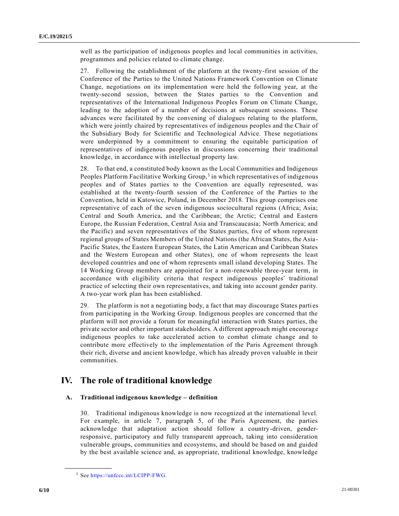well as the participation of indigenous peoples and local communities in activities, programmes and policies related to climate change.

27. Following the establishment of the platform at the twenty-first session of the Conference of the Parties to the United Nations Framework Convention on Climate Change, negotiations on its implementation were held the following year, at the twenty-second session, between the States parties to the Convention and representatives of the International Indigenous Peoples Forum on Climate Change, leading to the adoption of a number of decisions at subsequent sessions. These advances were facilitated by the convening of dialogues relating to the platform, which were jointly chaired by representatives of indigenous peoples and the Chair of the Subsidiary Body for Scientific and Technological Advice. These negotiations were underpinned by a commitment to ensuring the equitable participation of representatives of indigenous peoples in discussions concerning their traditional knowledge, in accordance with intellectual property law.

28. To that end, a constituted body known as the Local Communities and Indigenous Peoples Platform Facilitative Working Group,<sup>5</sup> in which representatives of indigenous peoples and of States parties to the Convention are equally represented, was established at the twenty-fourth session of the Conference of the Parties to the Convention, held in Katowice, Poland, in December 2018. This group comprises one representative of each of the seven indigenous sociocultural regions (Africa; Asia; Central and South America, and the Caribbean; the Arctic; Central and Eastern Europe, the Russian Federation, Central Asia and Transcaucasia; North America; and the Pacific) and seven representatives of the States parties, five of whom represent regional groups of States Members of the United Nations (the African States, the Asia-Pacific States, the Eastern European States, the Latin American and Caribbean States and the Western European and other States), one of whom represents the least developed countries and one of whom represents small island developing States. The 14 Working Group members are appointed for a non-renewable three-year term, in accordance with eligibility criteria that respect indigenous peoples' traditional practice of selecting their own representatives, and taking into account gender parity. A two-year work plan has been established.

29. The platform is not a negotiating body, a fact that may discourage States parties from participating in the Working Group. Indigenous peoples are concerned that the platform will not provide a forum for meaningful interaction with States parties, the private sector and other important stakeholders. A different approach might encourage indigenous peoples to take accelerated action to combat climate change and to contribute more effectively to the implementation of the Paris Agreement through their rich, diverse and ancient knowledge, which has already proven valuable in their communities.

### **IV. The role of traditional knowledge**

#### **A. Traditional indigenous knowledge – definition**

30. Traditional indigenous knowledge is now recognized at the international level. For example, in article 7, paragraph 5, of the Paris Agreement, the parties acknowledge that adaptation action should follow a country-driven, genderresponsive, participatory and fully transparent approach, taking into consideration vulnerable groups, communities and ecosystems, and should be based on and guided by the best available science and, as appropriate, traditional knowledge, knowledge

<sup>5</sup> See [https://unfccc.int/LCIPP-FWG.](https://unfccc.int/LCIPP-FWG)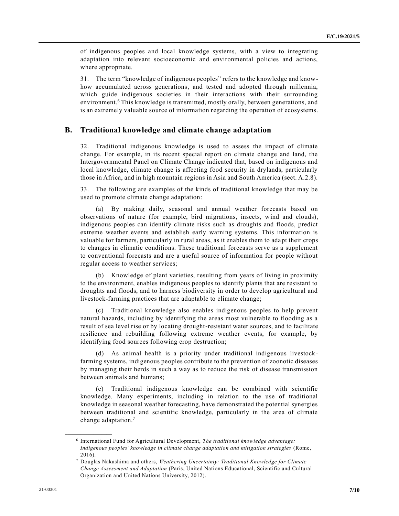of indigenous peoples and local knowledge systems, with a view to integrating adaptation into relevant socioeconomic and environmental policies and actions, where appropriate.

31. The term "knowledge of indigenous peoples" refers to the knowledge and knowhow accumulated across generations, and tested and adopted through millennia, which guide indigenous societies in their interactions with their surrounding environment.<sup>6</sup> This knowledge is transmitted, mostly orally, between generations, and is an extremely valuable source of information regarding the operation of ecosystems.

#### **B. Traditional knowledge and climate change adaptation**

32. Traditional indigenous knowledge is used to assess the impact of climate change. For example, in its recent special report on climate change and land, the Intergovernmental Panel on Climate Change indicated that, based on indigenous and local knowledge, climate change is affecting food security in drylands, particularly those in Africa, and in high mountain regions in Asia and South America (sect. A.2.8).

33. The following are examples of the kinds of traditional knowledge that may be used to promote climate change adaptation:

(a) By making daily, seasonal and annual weather forecasts based on observations of nature (for example, bird migrations, insects, wind and clouds), indigenous peoples can identify climate risks such as droughts and floods, predict extreme weather events and establish early warning systems. This information is valuable for farmers, particularly in rural areas, as it enables them to adapt their crops to changes in climatic conditions. These traditional forecasts serve as a supplement to conventional forecasts and are a useful source of information for people without regular access to weather services;

(b) Knowledge of plant varieties, resulting from years of living in proximity to the environment, enables indigenous peoples to identify plants that are resistant to droughts and floods, and to harness biodiversity in order to develop agricultural and livestock-farming practices that are adaptable to climate change;

(c) Traditional knowledge also enables indigenous peoples to help prevent natural hazards, including by identifying the areas most vulnerable to flooding as a result of sea level rise or by locating drought-resistant water sources, and to facilitate resilience and rebuilding following extreme weather events, for example, by identifying food sources following crop destruction;

(d) As animal health is a priority under traditional indigenous livestock farming systems, indigenous peoples contribute to the prevention of zoonotic diseases by managing their herds in such a way as to reduce the risk of disease transmission between animals and humans;

(e) Traditional indigenous knowledge can be combined with scientific knowledge. Many experiments, including in relation to the use of traditional knowledge in seasonal weather forecasting, have demonstrated the potential synergies between traditional and scientific knowledge, particularly in the area of climate change adaptation.<sup>7</sup>

<sup>6</sup> International Fund for Agricultural Development, *The traditional knowledge advantage: Indigenous peoples' knowledge in climate change adaptation and mitigation strategies* (Rome, 2016).

<sup>7</sup> Douglas Nakashima and others, *Weathering Uncertainty: Traditional Knowledge for Climate Change Assessment and Adaptation* (Paris, United Nations Educational, Scientific and Cultural Organization and United Nations University, 2012).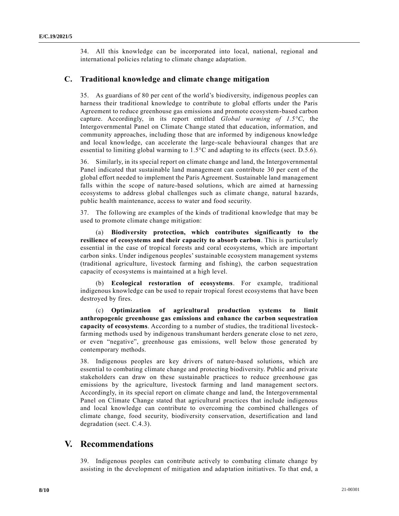34. All this knowledge can be incorporated into local, national, regional and international policies relating to climate change adaptation.

#### **C. Traditional knowledge and climate change mitigation**

35. As guardians of 80 per cent of the world's biodiversity, indigenous peoples can harness their traditional knowledge to contribute to global efforts under the Paris Agreement to reduce greenhouse gas emissions and promote ecosystem-based carbon capture. Accordingly, in its report entitled *Global warming of 1.5°C*, the Intergovernmental Panel on Climate Change stated that education, information, and community approaches, including those that are informed by indigenous knowledge and local knowledge, can accelerate the large-scale behavioural changes that are essential to limiting global warming to 1.5°C and adapting to its effects (sect. D.5.6).

36. Similarly, in its special report on climate change and land, the Intergovernmental Panel indicated that sustainable land management can contribute 30 per cent of the global effort needed to implement the Paris Agreement. Sustainable land management falls within the scope of nature-based solutions, which are aimed at harnessing ecosystems to address global challenges such as climate change, natural hazards, public health maintenance, access to water and food security.

37. The following are examples of the kinds of traditional knowledge that may be used to promote climate change mitigation:

(a) **Biodiversity protection, which contributes significantly to the resilience of ecosystems and their capacity to absorb carbon**. This is particularly essential in the case of tropical forests and coral ecosystems, which are important carbon sinks. Under indigenous peoples' sustainable ecosystem management systems (traditional agriculture, livestock farming and fishing), the carbon sequestration capacity of ecosystems is maintained at a high level.

(b) **Ecological restoration of ecosystems**. For example, traditional indigenous knowledge can be used to repair tropical forest ecosystems that have been destroyed by fires.

(c) **Optimization of agricultural production systems to limit anthropogenic greenhouse gas emissions and enhance the carbon sequestration capacity of ecosystems**. According to a number of studies, the traditional livestockfarming methods used by indigenous transhumant herders generate close to net zero, or even "negative", greenhouse gas emissions, well below those generated by contemporary methods.

38. Indigenous peoples are key drivers of nature-based solutions, which are essential to combating climate change and protecting biodiversity. Public and private stakeholders can draw on these sustainable practices to reduce greenhouse gas emissions by the agriculture, livestock farming and land management sectors. Accordingly, in its special report on climate change and land, the Intergovernmental Panel on Climate Change stated that agricultural practices that include indigenous and local knowledge can contribute to overcoming the combined challenges of climate change, food security, biodiversity conservation, desertification and land degradation (sect. C.4.3).

### **V. Recommendations**

39. Indigenous peoples can contribute actively to combating climate change by assisting in the development of mitigation and adaptation initiatives. To that end, a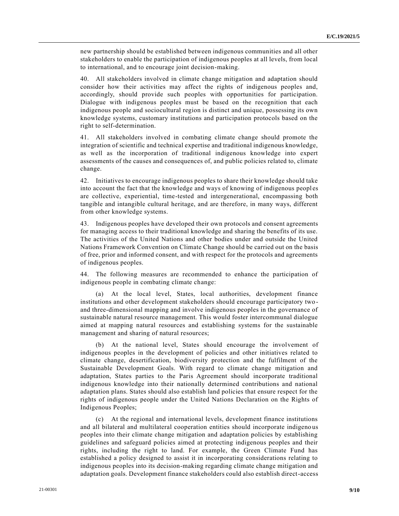new partnership should be established between indigenous communities and all other stakeholders to enable the participation of indigenous peoples at all levels, from local to international, and to encourage joint decision-making.

40. All stakeholders involved in climate change mitigation and adaptation should consider how their activities may affect the rights of indigenous peoples and, accordingly, should provide such peoples with opportunities for participation. Dialogue with indigenous peoples must be based on the recognition that each indigenous people and sociocultural region is distinct and unique, possessing its own knowledge systems, customary institutions and participation protocols based on the right to self-determination.

41. All stakeholders involved in combating climate change should promote the integration of scientific and technical expertise and traditional indigenous knowledge, as well as the incorporation of traditional indigenous knowledge into expert assessments of the causes and consequences of, and public policies related to, climate change.

42. Initiatives to encourage indigenous peoples to share their knowledge should take into account the fact that the knowledge and ways of knowing of indigenous peoples are collective, experiential, time-tested and intergenerational, encompassing both tangible and intangible cultural heritage, and are therefore, in many ways, different from other knowledge systems.

43. Indigenous peoples have developed their own protocols and consent agreements for managing access to their traditional knowledge and sharing the benefits of its use. The activities of the United Nations and other bodies under and outside the United Nations Framework Convention on Climate Change should be carried out on the basis of free, prior and informed consent, and with respect for the protocols and agreements of indigenous peoples.

44. The following measures are recommended to enhance the participation of indigenous people in combating climate change:

(a) At the local level, States, local authorities, development finance institutions and other development stakeholders should encourage participatory two and three-dimensional mapping and involve indigenous peoples in the governance of sustainable natural resource management. This would foster intercommunal dialogue aimed at mapping natural resources and establishing systems for the sustainable management and sharing of natural resources;

(b) At the national level, States should encourage the involvement of indigenous peoples in the development of policies and other initiatives related to climate change, desertification, biodiversity protection and the fulfilment of the Sustainable Development Goals. With regard to climate change mitigation and adaptation, States parties to the Paris Agreement should incorporate traditional indigenous knowledge into their nationally determined contributions and national adaptation plans. States should also establish land policies that ensure respect for the rights of indigenous people under the United Nations Declaration on the Rights of Indigenous Peoples;

(c) At the regional and international levels, development finance institutions and all bilateral and multilateral cooperation entities should incorporate indigeno us peoples into their climate change mitigation and adaptation policies by establishing guidelines and safeguard policies aimed at protecting indigenous peoples and their rights, including the right to land. For example, the Green Climate Fund has established a policy designed to assist it in incorporating considerations relating to indigenous peoples into its decision-making regarding climate change mitigation and adaptation goals. Development finance stakeholders could also establish direct-access